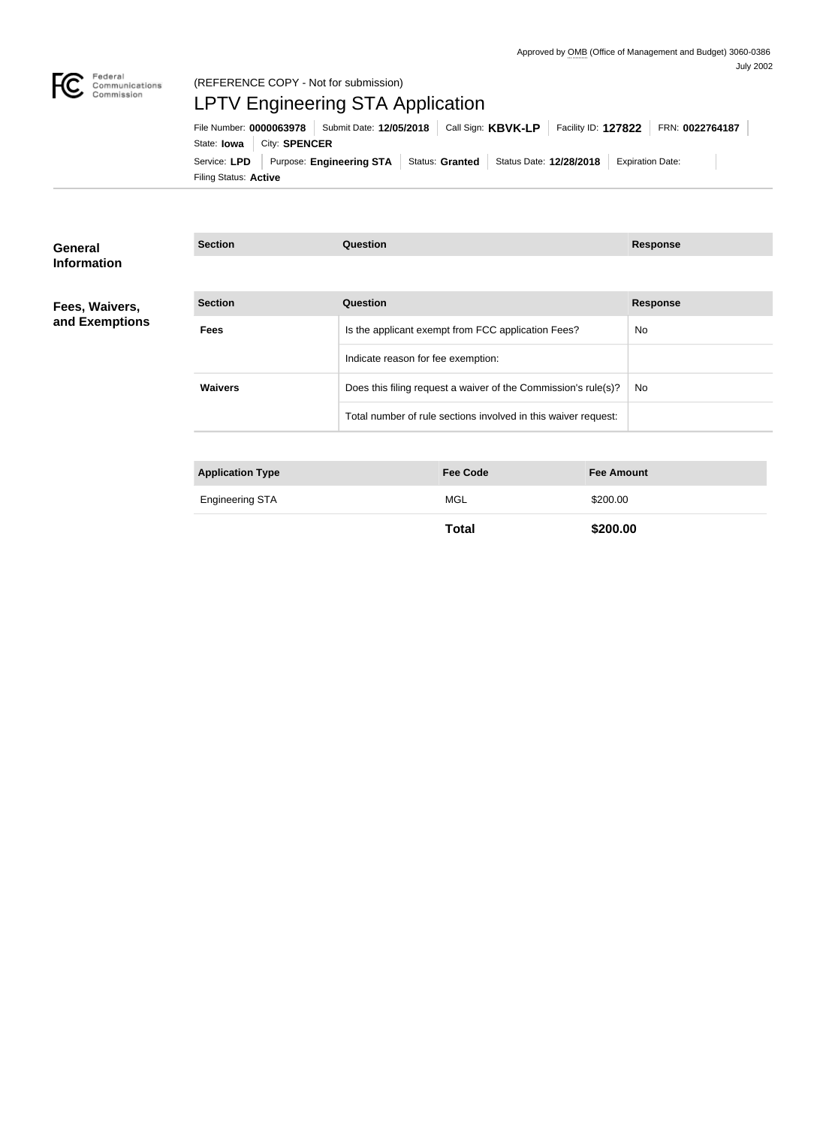

# (REFERENCE COPY - Not for submission) LPTV Engineering STA Application

Filing Status: **Active** Service: LPD Purpose: Engineering STA Status: Granted Status Date: 12/28/2018 Expiration Date: State: **Iowa** | City: **SPENCER** File Number: **0000063978** Submit Date: **12/05/2018** Call Sign: **KBVK-LP** Facility ID: **127822** FRN: **0022764187**

| <b>General</b>     | <b>Section</b>          | <b>Question</b>                                                | <b>Response</b>   |
|--------------------|-------------------------|----------------------------------------------------------------|-------------------|
| <b>Information</b> |                         |                                                                |                   |
| Fees, Waivers,     | <b>Section</b>          | <b>Question</b>                                                | <b>Response</b>   |
| and Exemptions     | <b>Fees</b>             | Is the applicant exempt from FCC application Fees?             | No                |
|                    |                         | Indicate reason for fee exemption:                             |                   |
|                    | <b>Waivers</b>          | Does this filing request a waiver of the Commission's rule(s)? | No.               |
|                    |                         | Total number of rule sections involved in this waiver request: |                   |
|                    |                         |                                                                |                   |
|                    | <b>Application Type</b> | <b>Fee Code</b>                                                | <b>Fee Amount</b> |
|                    | <b>Engineering STA</b>  | <b>MGL</b>                                                     | \$200.00          |

**Total \$200.00**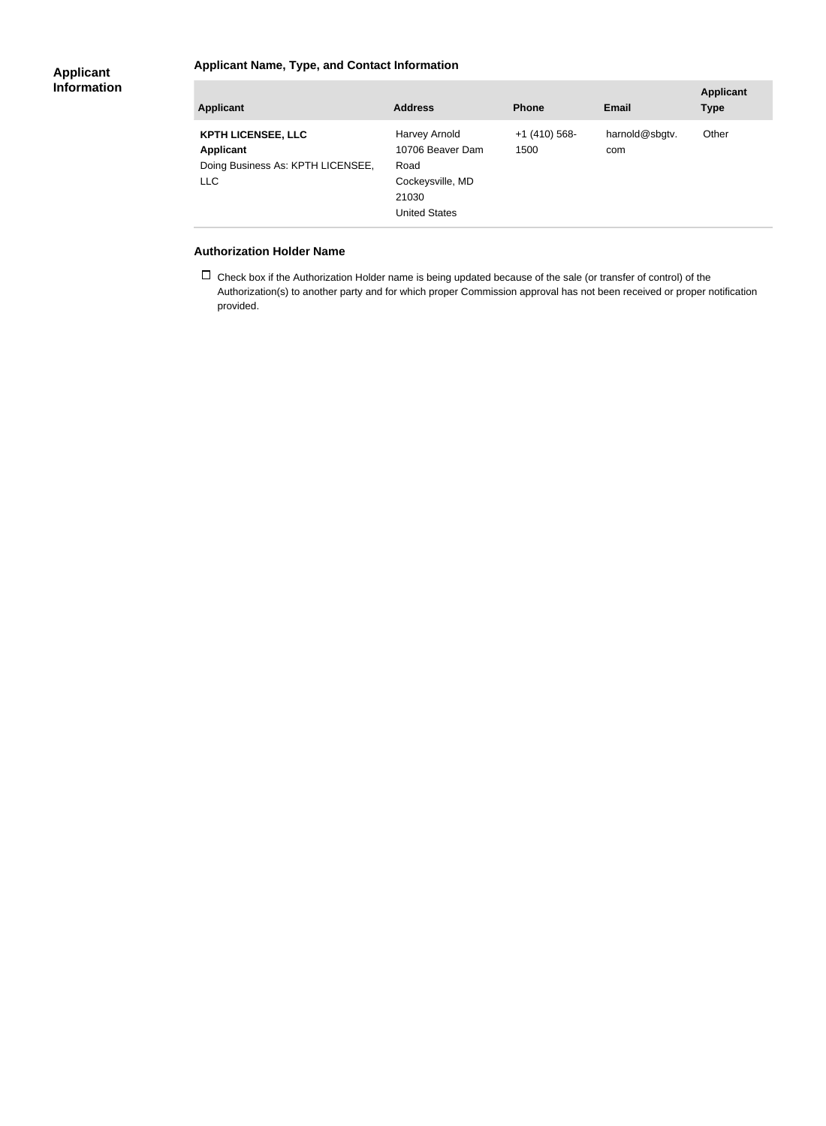### **Applicant Name, Type, and Contact Information**

#### **Applicant Information**

| <b>Applicant</b>                                                                                 | <b>Address</b>                                                                                 | <b>Phone</b>         | <b>Email</b>          | <b>Applicant</b><br><b>Type</b> |
|--------------------------------------------------------------------------------------------------|------------------------------------------------------------------------------------------------|----------------------|-----------------------|---------------------------------|
| <b>KPTH LICENSEE, LLC</b><br><b>Applicant</b><br>Doing Business As: KPTH LICENSEE,<br><b>LLC</b> | Harvey Arnold<br>10706 Beaver Dam<br>Road<br>Cockeysville, MD<br>21030<br><b>United States</b> | $+1(410)568$<br>1500 | harnold@sbgtv.<br>com | Other                           |

#### **Authorization Holder Name**

 $\Box$  Check box if the Authorization Holder name is being updated because of the sale (or transfer of control) of the Authorization(s) to another party and for which proper Commission approval has not been received or proper notification provided.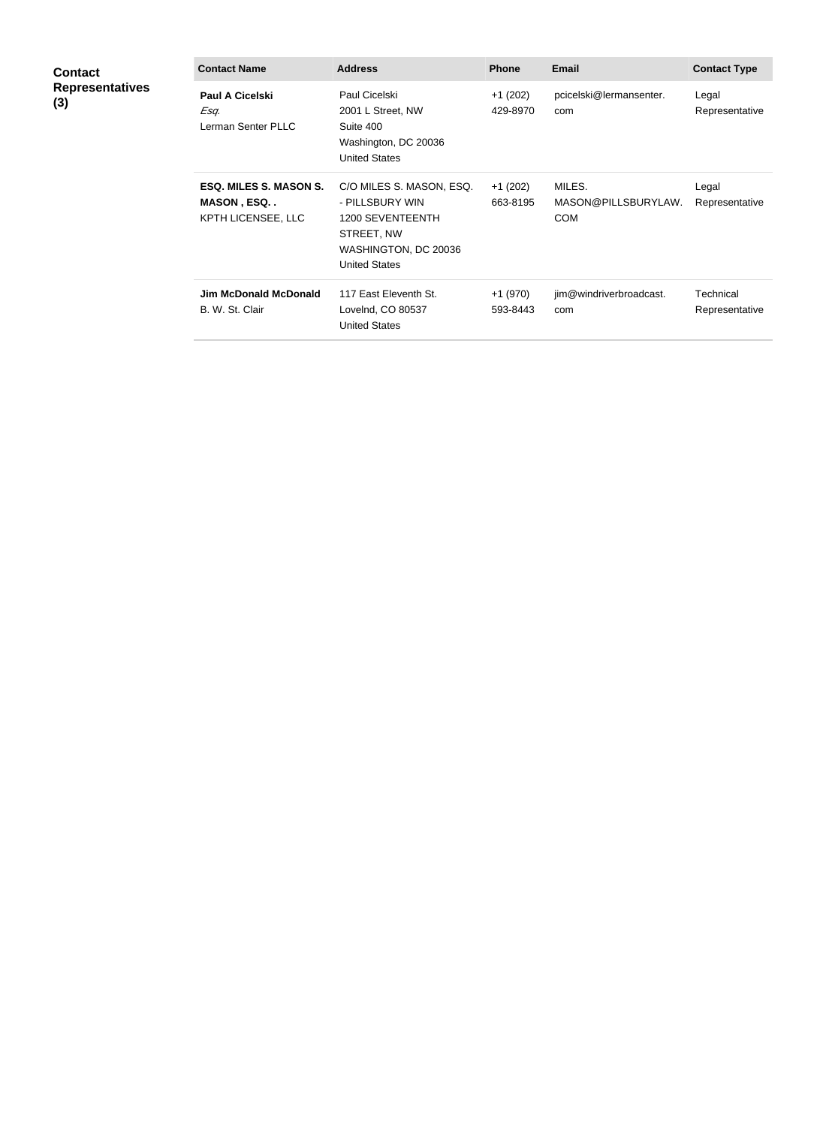| <b>Contact</b><br><b>Representatives</b><br>(3) | <b>Contact Name</b>                                                      | <b>Address</b>                                                                                                                | <b>Phone</b>          | <b>Email</b>                                | <b>Contact Type</b>         |
|-------------------------------------------------|--------------------------------------------------------------------------|-------------------------------------------------------------------------------------------------------------------------------|-----------------------|---------------------------------------------|-----------------------------|
|                                                 | <b>Paul A Cicelski</b><br>Esq.<br>Lerman Senter PLLC                     | Paul Cicelski<br>2001 L Street, NW<br>Suite 400<br>Washington, DC 20036<br><b>United States</b>                               | $+1(202)$<br>429-8970 | pcicelski@lermansenter.<br>com              | Legal<br>Representative     |
|                                                 | <b>ESQ. MILES S. MASON S.</b><br><b>MASON, ESQ</b><br>KPTH LICENSEE, LLC | C/O MILES S. MASON, ESQ.<br>- PILLSBURY WIN<br>1200 SEVENTEENTH<br>STREET, NW<br>WASHINGTON, DC 20036<br><b>United States</b> | $+1(202)$<br>663-8195 | MILES.<br>MASON@PILLSBURYLAW.<br><b>COM</b> | Legal<br>Representative     |
|                                                 | <b>Jim McDonald McDonald</b><br>B. W. St. Clair                          | 117 East Eleventh St.<br>LoveInd, CO 80537<br><b>United States</b>                                                            | +1 (970)<br>593-8443  | jim@windriverbroadcast.<br>com              | Technical<br>Representative |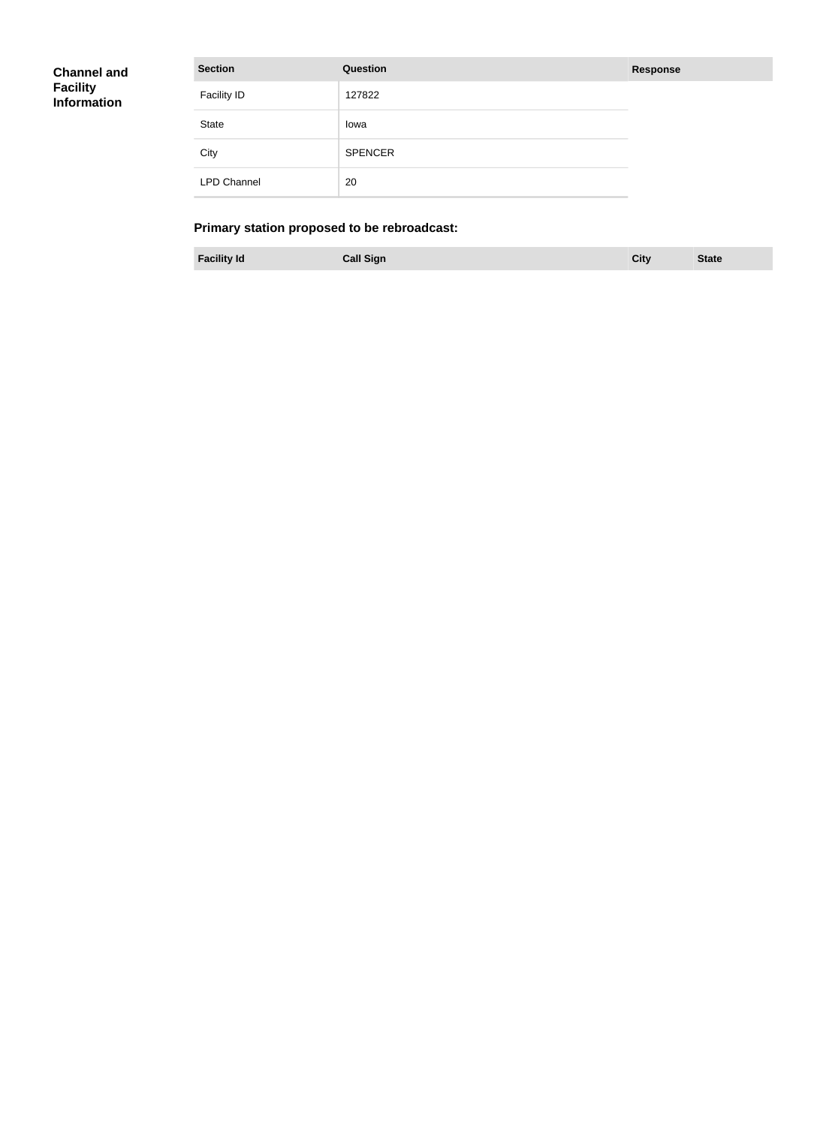| Channel and |  |
|-------------|--|
| Facility    |  |
| Information |  |
|             |  |

| <b>Section</b>     | <b>Question</b> | <b>Response</b> |
|--------------------|-----------------|-----------------|
| <b>Facility ID</b> | 127822          |                 |
| State              | Iowa            |                 |
| City               | <b>SPENCER</b>  |                 |
| <b>LPD Channel</b> | 20              |                 |

## **Primary station proposed to be rebroadcast:**

**Facility Id Call Sign City State**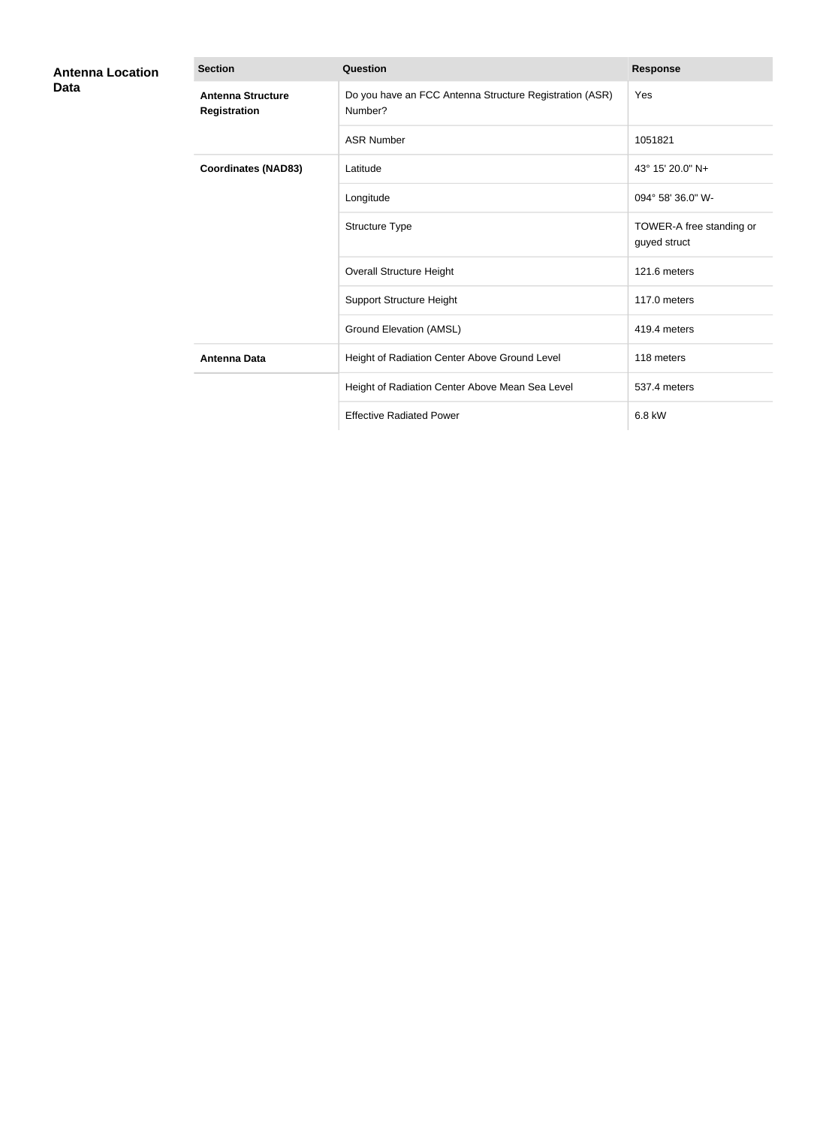| <b>Antenna Location</b><br>Data | <b>Section</b>                                  | Question                                                           | <b>Response</b>                          |
|---------------------------------|-------------------------------------------------|--------------------------------------------------------------------|------------------------------------------|
|                                 | <b>Antenna Structure</b><br><b>Registration</b> | Do you have an FCC Antenna Structure Registration (ASR)<br>Number? | Yes                                      |
|                                 |                                                 | <b>ASR Number</b>                                                  | 1051821                                  |
|                                 | <b>Coordinates (NAD83)</b>                      | Latitude                                                           | 43° 15' 20.0" N+                         |
|                                 |                                                 | Longitude                                                          | 094° 58' 36.0" W-                        |
|                                 |                                                 | Structure Type                                                     | TOWER-A free standing or<br>guyed struct |
|                                 |                                                 | <b>Overall Structure Height</b>                                    | 121.6 meters                             |
|                                 |                                                 | <b>Support Structure Height</b>                                    | 117.0 meters                             |
|                                 |                                                 | Ground Elevation (AMSL)                                            | 419.4 meters                             |
|                                 | <b>Antenna Data</b>                             | Height of Radiation Center Above Ground Level                      | 118 meters                               |
|                                 |                                                 | Height of Radiation Center Above Mean Sea Level                    | 537.4 meters                             |
|                                 |                                                 | <b>Effective Radiated Power</b>                                    | 6.8 kW                                   |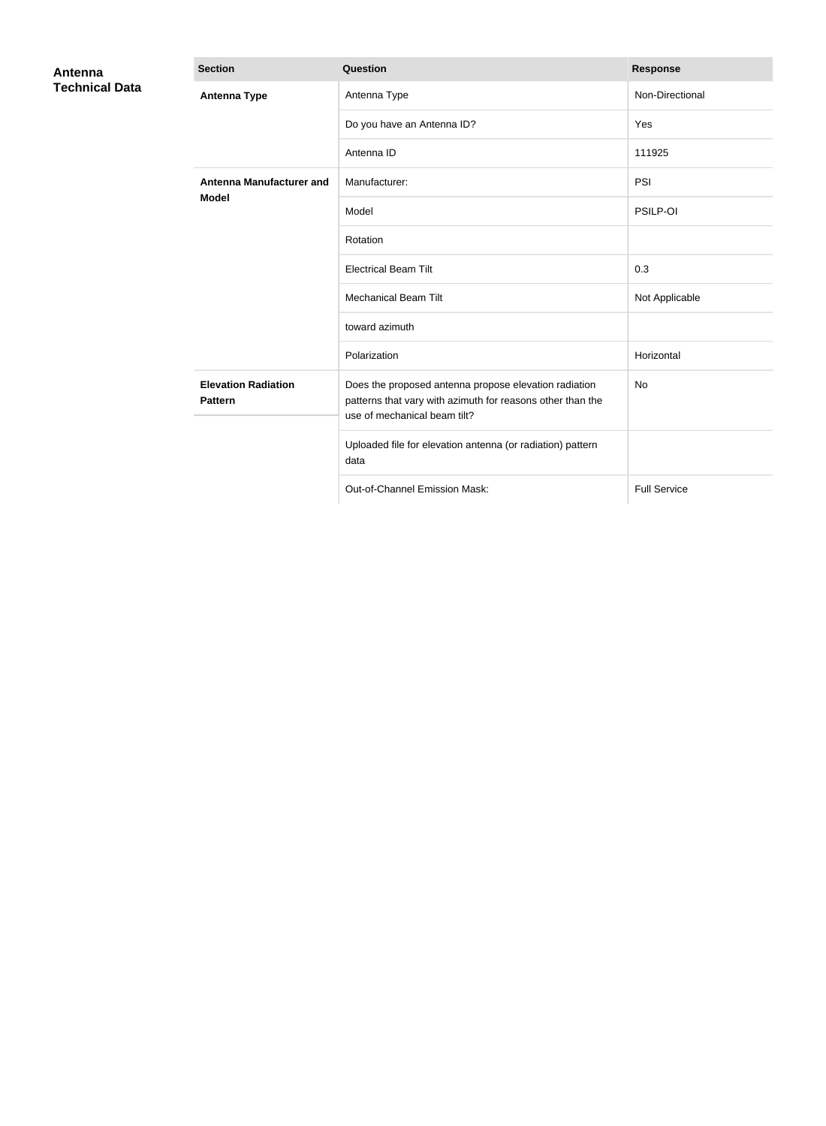| Antenna<br><b>Technical Data</b> | <b>Section</b>                                  | Question                                                                                                                                            | <b>Response</b>     |
|----------------------------------|-------------------------------------------------|-----------------------------------------------------------------------------------------------------------------------------------------------------|---------------------|
|                                  | <b>Antenna Type</b>                             | Antenna Type                                                                                                                                        | Non-Directional     |
|                                  |                                                 | Do you have an Antenna ID?                                                                                                                          | Yes                 |
|                                  |                                                 | Antenna ID                                                                                                                                          | 111925              |
|                                  | <b>Antenna Manufacturer and</b><br><b>Model</b> | Manufacturer:                                                                                                                                       | PSI                 |
|                                  |                                                 | Model                                                                                                                                               | PSILP-OI            |
|                                  |                                                 | Rotation                                                                                                                                            |                     |
|                                  |                                                 | <b>Electrical Beam Tilt</b>                                                                                                                         | 0.3                 |
|                                  |                                                 | <b>Mechanical Beam Tilt</b>                                                                                                                         | Not Applicable      |
|                                  |                                                 | toward azimuth                                                                                                                                      |                     |
|                                  |                                                 | Polarization                                                                                                                                        | Horizontal          |
|                                  | <b>Elevation Radiation</b><br><b>Pattern</b>    | Does the proposed antenna propose elevation radiation<br>patterns that vary with azimuth for reasons other than the<br>use of mechanical beam tilt? | No                  |
|                                  |                                                 | Uploaded file for elevation antenna (or radiation) pattern<br>data                                                                                  |                     |
|                                  |                                                 | Out-of-Channel Emission Mask:                                                                                                                       | <b>Full Service</b> |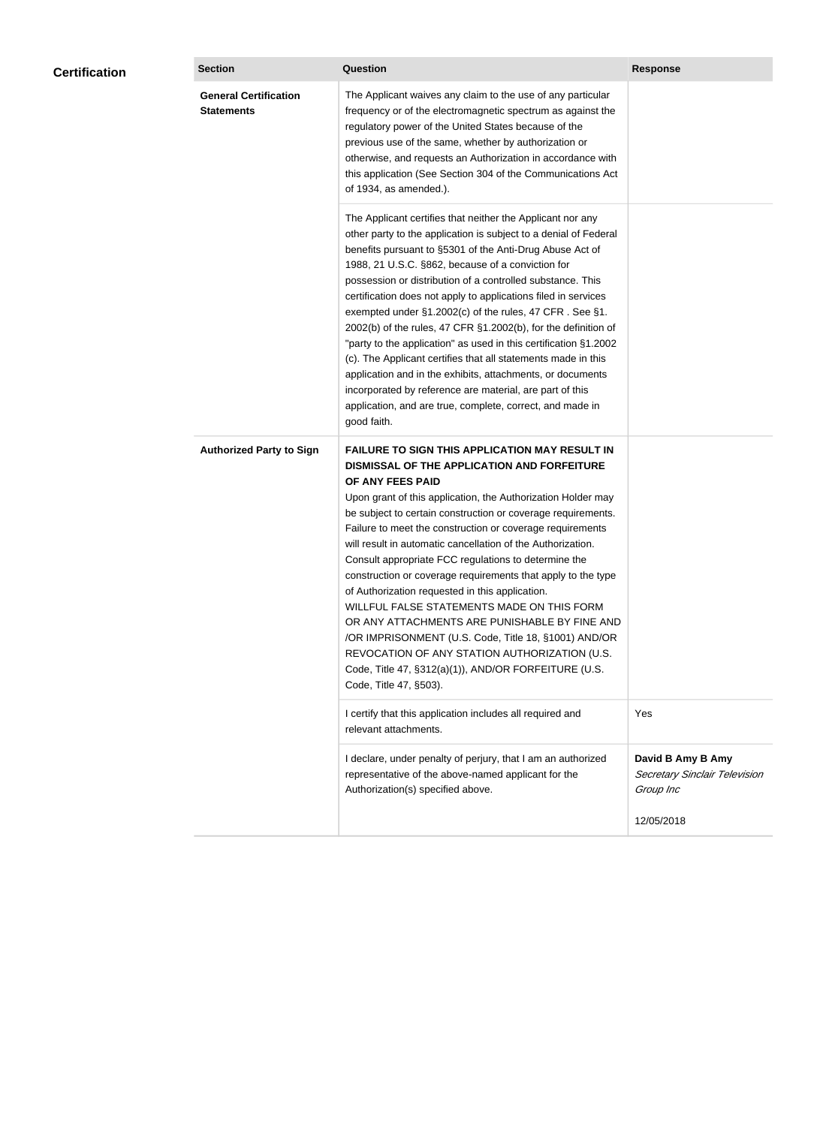| <b>Certification</b> | <b>Section</b>                                    | Question                                                                                                                                                                                                                                                                                                                                                                                                                                                                                                                                                                                                                                                                                                                                                                                                                                                  | <b>Response</b>                                                 |
|----------------------|---------------------------------------------------|-----------------------------------------------------------------------------------------------------------------------------------------------------------------------------------------------------------------------------------------------------------------------------------------------------------------------------------------------------------------------------------------------------------------------------------------------------------------------------------------------------------------------------------------------------------------------------------------------------------------------------------------------------------------------------------------------------------------------------------------------------------------------------------------------------------------------------------------------------------|-----------------------------------------------------------------|
|                      | <b>General Certification</b><br><b>Statements</b> | The Applicant waives any claim to the use of any particular<br>frequency or of the electromagnetic spectrum as against the<br>regulatory power of the United States because of the<br>previous use of the same, whether by authorization or<br>otherwise, and requests an Authorization in accordance with<br>this application (See Section 304 of the Communications Act<br>of 1934, as amended.).                                                                                                                                                                                                                                                                                                                                                                                                                                                       |                                                                 |
|                      |                                                   | The Applicant certifies that neither the Applicant nor any<br>other party to the application is subject to a denial of Federal<br>benefits pursuant to §5301 of the Anti-Drug Abuse Act of<br>1988, 21 U.S.C. §862, because of a conviction for<br>possession or distribution of a controlled substance. This<br>certification does not apply to applications filed in services<br>exempted under §1.2002(c) of the rules, 47 CFR. See §1.<br>2002(b) of the rules, 47 CFR §1.2002(b), for the definition of<br>"party to the application" as used in this certification §1.2002<br>(c). The Applicant certifies that all statements made in this<br>application and in the exhibits, attachments, or documents<br>incorporated by reference are material, are part of this<br>application, and are true, complete, correct, and made in<br>good faith.   |                                                                 |
|                      | <b>Authorized Party to Sign</b>                   | <b>FAILURE TO SIGN THIS APPLICATION MAY RESULT IN</b><br>DISMISSAL OF THE APPLICATION AND FORFEITURE<br>OF ANY FEES PAID<br>Upon grant of this application, the Authorization Holder may<br>be subject to certain construction or coverage requirements.<br>Failure to meet the construction or coverage requirements<br>will result in automatic cancellation of the Authorization.<br>Consult appropriate FCC regulations to determine the<br>construction or coverage requirements that apply to the type<br>of Authorization requested in this application.<br>WILLFUL FALSE STATEMENTS MADE ON THIS FORM<br>OR ANY ATTACHMENTS ARE PUNISHABLE BY FINE AND<br>/OR IMPRISONMENT (U.S. Code, Title 18, §1001) AND/OR<br>REVOCATION OF ANY STATION AUTHORIZATION (U.S.<br>Code, Title 47, §312(a)(1)), AND/OR FORFEITURE (U.S.<br>Code, Title 47, §503). |                                                                 |
|                      |                                                   | I certify that this application includes all required and<br>relevant attachments.                                                                                                                                                                                                                                                                                                                                                                                                                                                                                                                                                                                                                                                                                                                                                                        | Yes                                                             |
|                      |                                                   | I declare, under penalty of perjury, that I am an authorized<br>representative of the above-named applicant for the<br>Authorization(s) specified above.                                                                                                                                                                                                                                                                                                                                                                                                                                                                                                                                                                                                                                                                                                  | David B Amy B Amy<br>Secretary Sinclair Television<br>Group Inc |
|                      |                                                   |                                                                                                                                                                                                                                                                                                                                                                                                                                                                                                                                                                                                                                                                                                                                                                                                                                                           | 12/05/2018                                                      |